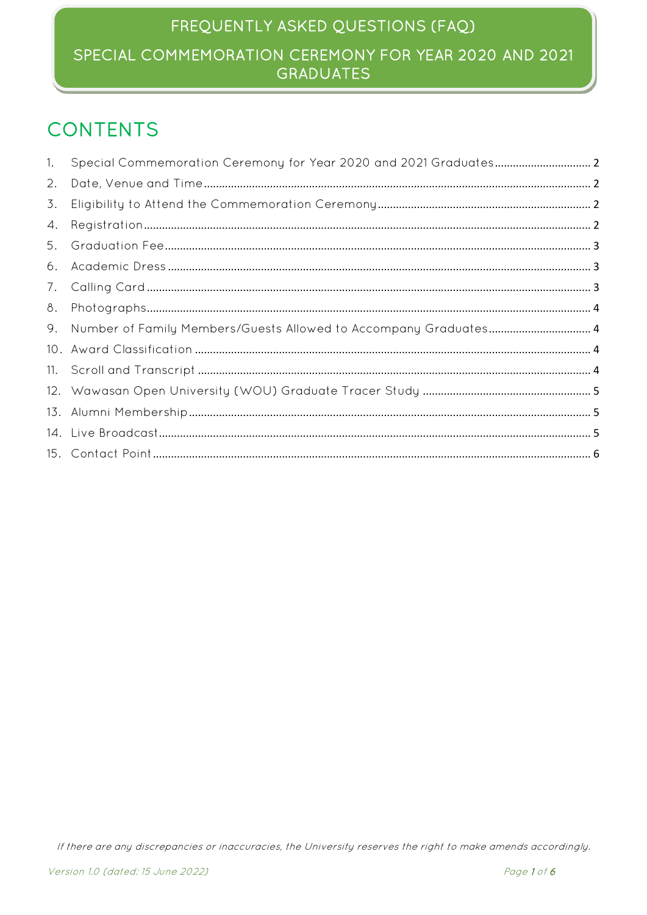# FREQUENTLY ASKED QUESTIONS (FAQ) SPECIAL COMMEMORATION CEREMONY FOR YEAR 2020 AND 2021 **GRADUATES**

# **CONTENTS**

| 1. |                                                                     |  |
|----|---------------------------------------------------------------------|--|
| 2. |                                                                     |  |
| 3. |                                                                     |  |
| 4. |                                                                     |  |
| 5. |                                                                     |  |
|    |                                                                     |  |
|    |                                                                     |  |
| 8. |                                                                     |  |
|    | 9. Number of Family Members/Guests Allowed to Accompany Graduates 4 |  |
|    |                                                                     |  |
|    |                                                                     |  |
|    |                                                                     |  |
|    |                                                                     |  |
|    |                                                                     |  |
|    |                                                                     |  |
|    |                                                                     |  |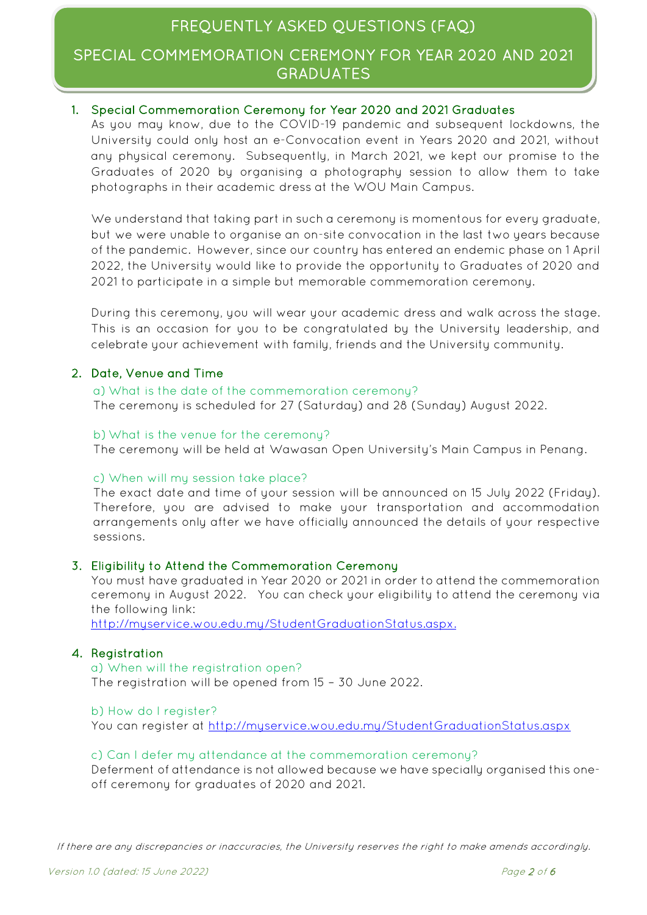# FREQUENTLY ASKED QUESTIONS (FAQ)

### SPECIAL COMMEMORATION CEREMONY FOR YEAR 2020 AND 2021 GRADUATES

### <span id="page-1-0"></span>1. Special Commemoration Ceremony for Year 2020 and 2021 Graduates

As you may know, due to the COVID-19 pandemic and subsequent lockdowns, the University could only host an e-Convocation event in Years 2020 and 2021, without any physical ceremony. Subsequently, in March 2021, we kept our promise to the Graduates of 2020 by organising a photography session to allow them to take photographs in their academic dress at the WOU Main Campus.

We understand that taking part in such a ceremony is momentous for every graduate, but we were unable to organise an on-site convocation in the last two years because of the pandemic. However, since our country has entered an endemic phase on 1 April 2022, the University would like to provide the opportunity to Graduates of 2020 and 2021 to participate in a simple but memorable commemoration ceremony.

During this ceremony, you will wear your academic dress and walk across the stage. This is an occasion for you to be congratulated by the University leadership, and celebrate your achievement with family, friends and the University community.

### <span id="page-1-1"></span>2. Date, Venue and Time

a) What is the date of the commemoration ceremony? The ceremony is scheduled for 27 (Saturday) and 28 (Sunday) August 2022.

#### b)What is the venue for the ceremony?

The ceremony will be held at Wawasan Open University's Main Campus in Penang.

#### c) When will my session take place?

The exact date and time of your session will be announced on 15 July 2022 (Friday). Therefore, you are advised to make your transportation and accommodation arrangements only after we have officially announced the details of your respective sessions.

#### <span id="page-1-2"></span>3. Eligibility to Attend the Commemoration Ceremony

You must have graduated in Year 2020 or 2021 in order to attend the commemoration ceremony in August 2022. You can check your eligibility to attend the ceremony via the following link:

[http://myservice.wou.edu.my/StudentGraduationStatus.aspx.](http://myservice.wou.edu.my/StudentGraduationStatus.aspx)

#### <span id="page-1-3"></span>4. Registration

a) When will the registration open? The registration will be opened from 15 – 30 June 2022.

### b) How do I register?

You can register at<http://myservice.wou.edu.my/StudentGraduationStatus.aspx>

#### c) Can I defer my attendance at the commemoration ceremony?

Deferment of attendance is not allowed because we have specially organised this oneoff ceremony for graduates of 2020 and 2021.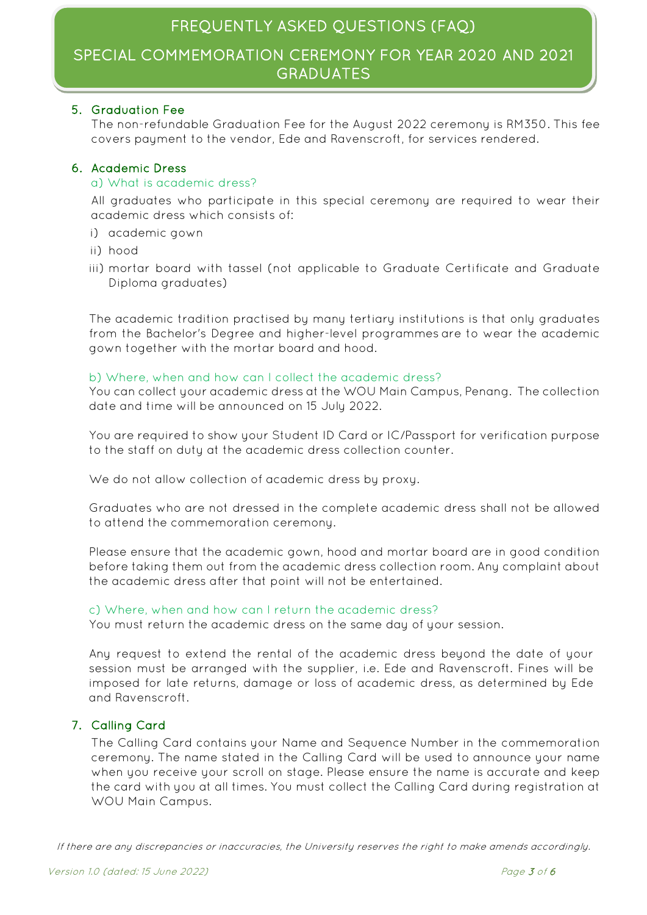## SPECIAL COMMEMORATION CEREMONY FOR YEAR 2020 AND 2021 GRADUATES

### <span id="page-2-0"></span>5. Graduation Fee

The non-refundable Graduation Fee for the August 2022 ceremony is RM350. This fee covers payment to the vendor, Ede and Ravenscroft, for services rendered.

### <span id="page-2-1"></span>6. Academic Dress

### a) What is academic dress?

All graduates who participate in this special ceremony are required to wear their academic dress which consists of:

- i) academic gown
- ii) hood
- iii) mortar board with tassel (not applicable to Graduate Certificate and Graduate Diploma graduates)

The academic tradition practised by many tertiary institutions is that only graduates from the Bachelor's Degree and higher-level programmes are to wear the academic gown together with the mortar board and hood.

### b) Where, when and how can I collect the academic dress?

You can collect your academic dress at the WOU Main Campus, Penang. The collection date and time will be announced on 15 July 2022.

You are required to show your Student ID Card or IC/Passport for verification purpose to the staff on duty at the academic dress collection counter.

We do not allow collection of academic dress by proxy.

Graduates who are not dressed in the complete academic dress shall not be allowed to attend the commemoration ceremony.

Please ensure that the academic gown, hood and mortar board are in good condition before taking them out from the academic dress collection room. Any complaint about the academic dress after that point will not be entertained.

### c) Where, when and how can I return the academic dress?

You must return the academic dress on the same day of your session.

Any request to extend the rental of the academic dress beyond the date of your session must be arranged with the supplier, i.e. Ede and Ravenscroft. Fines will be imposed for late returns, damage or loss of academic dress, as determined by Ede and Ravenscroft.

### <span id="page-2-2"></span>7. Calling Card

The Calling Card contains your Name and Sequence Number in the commemoration ceremony. The name stated in the Calling Card will be used to announce your name when you receive your scroll on stage. Please ensure the name is accurate and keep the card with you at all times. You must collect the Calling Card during registration at WOU Main Campus.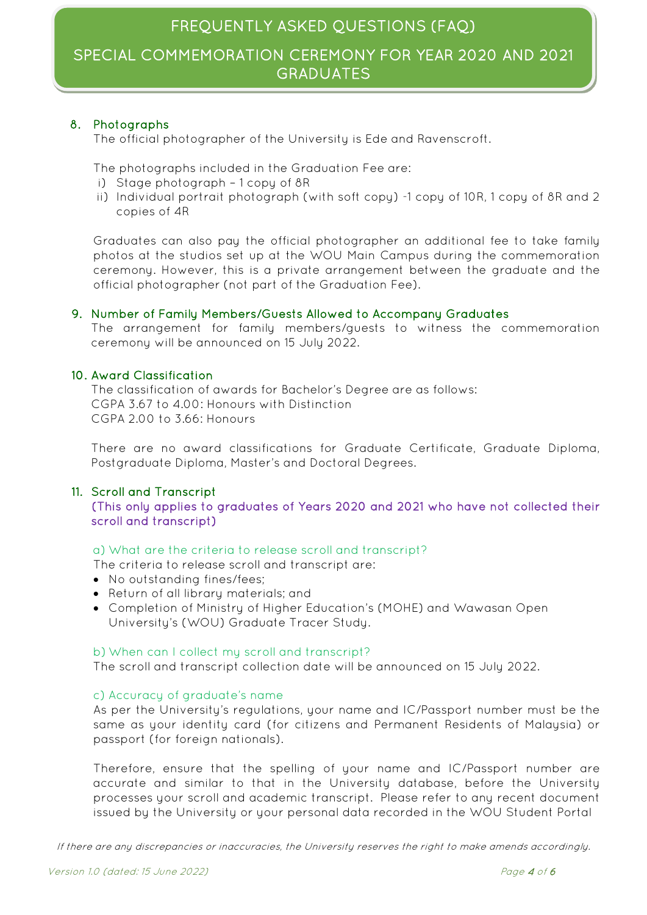# SPECIAL COMMEMORATION CEREMONY FOR YEAR 2020 AND 2021 GRADUATES

### <span id="page-3-0"></span>8. Photographs

The official photographer of the University is Ede and Ravenscroft.

The photographs included in the Graduation Fee are:

- i) Stage photograph 1 copy of 8R
- ii) Individual portrait photograph (with soft copy) -1 copy of 10R, 1 copy of 8R and 2 copies of 4R

Graduates can also pay the official photographer an additional fee to take family photos at the studios set up at the WOU Main Campus during the commemoration ceremony. However, this is a private arrangement between the graduate and the official photographer (not part of the Graduation Fee).

### <span id="page-3-1"></span>9. Number of Family Members/Guests Allowed to Accompany Graduates

The arrangement for family members/guests to witness the commemoration ceremony will be announced on 15 July 2022.

### <span id="page-3-2"></span>10. Award Classification

The classification of awards for Bachelor's Degree are as follows: CGPA 3.67 to 4.00: Honours with Distinction CGPA 2.00 to 3.66: Honours

There are no award classifications for Graduate Certificate, Graduate Diploma, Postgraduate Diploma, Master's and Doctoral Degrees.

### <span id="page-3-3"></span>11. Scroll and Transcript

(This only applies to graduates of Years 2020 and 2021 who have not collected their scroll and transcript)

### a) What are the criteria to release scroll and transcript?

The criteria to release scroll and transcript are:

- No outstanding fines/fees;
- Return of all library materials; and
- Completion of Ministry of Higher Education's (MOHE) and Wawasan Open University's (WOU) Graduate Tracer Study.

#### b) When can I collect my scroll and transcript?

The scroll and transcript collection date will be announced on 15 July 2022.

### c) Accuracy of graduate's name

As per the University's regulations, your name and IC/Passport number must be the same as your identity card (for citizens and Permanent Residents of Malaysia) or passport (for foreign nationals).

Therefore, ensure that the spelling of your name and IC/Passport number are accurate and similar to that in the University database, before the University processes your scroll and academic transcript. Please refer to any recent document issued by the University or your personal data recorded in the WOU Student Portal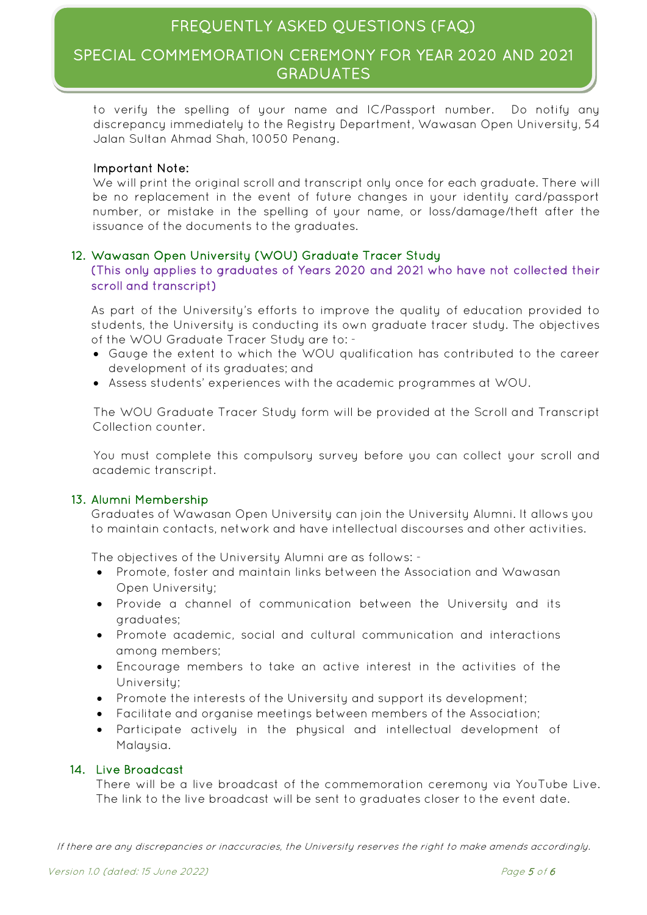## SPECIAL COMMEMORATION CEREMONY FOR YEAR 2020 AND 2021 GRADUATES

to verify the spelling of your name and IC/Passport number. Do notify any discrepancy immediately to the Registry Department, Wawasan Open University, 54 Jalan Sultan Ahmad Shah, 10050 Penang.

### Important Note:

We will print the original scroll and transcript only once for each graduate. There will be no replacement in the event of future changes in your identity card/passport number, or mistake in the spelling of your name, or loss/damage/theft after the issuance of the documents to the graduates.

### <span id="page-4-0"></span>12. Wawasan Open University (WOU) Graduate Tracer Study

(This only applies to graduates of Years 2020 and 2021 who have not collected their scroll and transcript)

As part of the University's efforts to improve the quality of education provided to students, the University is conducting its own graduate tracer study. The objectives of the WOU Graduate Tracer Study are to: -

- Gauge the extent to which the WOU qualification has contributed to the career development of its graduates; and
- Assess students' experiences with the academic programmes at WOU.

The WOU Graduate Tracer Study form will be provided at the Scroll and Transcript Collection counter.

You must complete this compulsory survey before you can collect your scroll and academic transcript.

### <span id="page-4-1"></span>13. Alumni Membership

Graduates of Wawasan Open University can join the University Alumni. It allows you to maintain contacts, network and have intellectual discourses and other activities.

The objectives of the University Alumni are as follows: -

- Promote, foster and maintain links between the Association and Wawasan Open University;
- Provide a channel of communication between the University and its graduates;
- Promote academic, social and cultural communication and interactions among members;
- Encourage members to take an active interest in the activities of the University;
- Promote the interests of the University and support its development;
- Facilitate and organise meetings between members of the Association;
- Participate actively in the physical and intellectual development of Malaysia.

#### <span id="page-4-2"></span>14. Live Broadcast

There will be a live broadcast of the commemoration ceremony via YouTube Live. The link to the live broadcast will be sent to graduates closer to the event date.